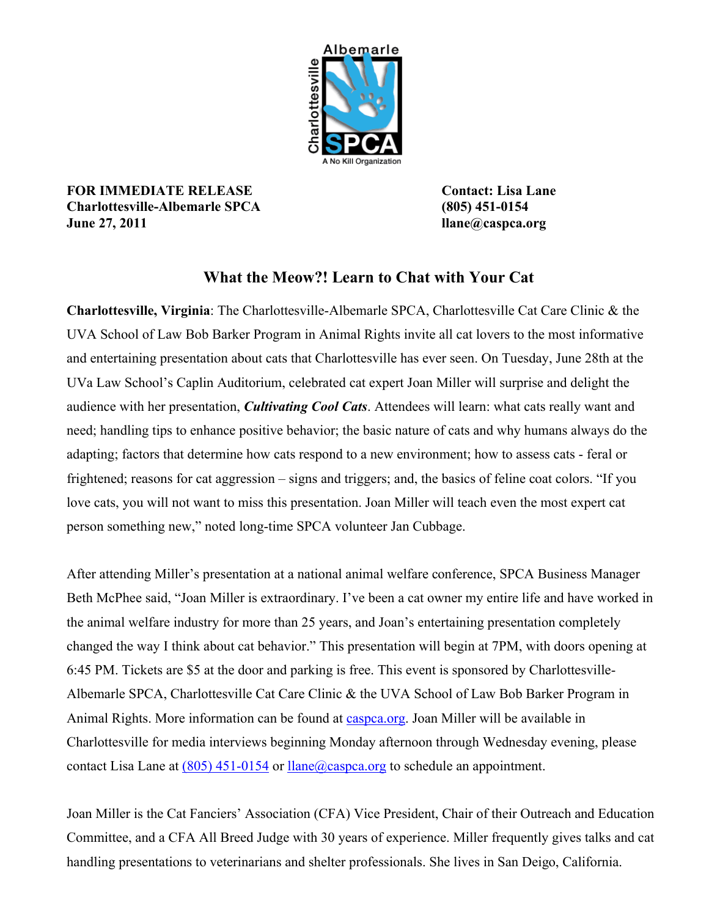

**FOR IMMEDIATE RELEASE Contact: Lisa Lane Charlottesville-Albemarle SPCA (805) 451-0154 June 27, 2011 llane@caspca.org**

## **What the Meow?! Learn to Chat with Your Cat**

**Charlottesville, Virginia**: The Charlottesville-Albemarle SPCA, Charlottesville Cat Care Clinic & the UVA School of Law Bob Barker Program in Animal Rights invite all cat lovers to the most informative and entertaining presentation about cats that Charlottesville has ever seen. On Tuesday, June 28th at the UVa Law School's Caplin Auditorium, celebrated cat expert Joan Miller will surprise and delight the audience with her presentation, *Cultivating Cool Cats*. Attendees will learn: what cats really want and need; handling tips to enhance positive behavior; the basic nature of cats and why humans always do the adapting; factors that determine how cats respond to a new environment; how to assess cats - feral or frightened; reasons for cat aggression – signs and triggers; and, the basics of feline coat colors. "If you love cats, you will not want to miss this presentation. Joan Miller will teach even the most expert cat person something new," noted long-time SPCA volunteer Jan Cubbage.

After attending Miller's presentation at a national animal welfare conference, SPCA Business Manager Beth McPhee said, "Joan Miller is extraordinary. I've been a cat owner my entire life and have worked in the animal welfare industry for more than 25 years, and Joan's entertaining presentation completely changed the way I think about cat behavior." This presentation will begin at 7PM, with doors opening at 6:45 PM. Tickets are \$5 at the door and parking is free. This event is sponsored by Charlottesville-Albemarle SPCA, Charlottesville Cat Care Clinic & the UVA School of Law Bob Barker Program in Animal Rights. More information can be found at [caspca.org](http://caspca.org). Joan Miller will be available in Charlottesville for media interviews beginning Monday afternoon through Wednesday evening, please contact Lisa Lane at [\(805\) 451-0154](tel:%28805%29%20451-0154) or [llane@caspca.org](mailto:llane@caspca.org) to schedule an appointment.

Joan Miller is the Cat Fanciers' Association (CFA) Vice President, Chair of their Outreach and Education Committee, and a CFA All Breed Judge with 30 years of experience. Miller frequently gives talks and cat handling presentations to veterinarians and shelter professionals. She lives in San Deigo, California.